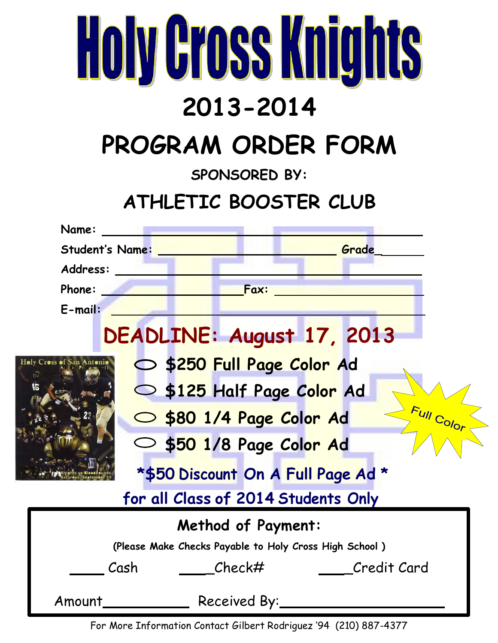| <b>Holy Gross Knights</b>                              |  |  |
|--------------------------------------------------------|--|--|
| 2013-2014                                              |  |  |
| PROGRAM ORDER FORM                                     |  |  |
| <b>SPONSORED BY:</b>                                   |  |  |
| ATHLETIC BOOSTER CLUB                                  |  |  |
| Name:                                                  |  |  |
| <b>Student's Name:</b><br>Grade                        |  |  |
| Address:                                               |  |  |
| Fax:<br>Phone:                                         |  |  |
| E-mail:                                                |  |  |
| DEADLINE: August 17, 2013                              |  |  |
| Holy Cross of San Antonio<br>S250 Full Page Color Ad   |  |  |
| S \$125 Half Page Color Ad                             |  |  |
|                                                        |  |  |
| Full Color<br>S80 1/4 Page Color Ad                    |  |  |
| S50 1/8 Page Color Ad                                  |  |  |
| *\$50 Discount On A Full Page Ad *                     |  |  |
| for all Class of 2014 Students Only                    |  |  |
| <b>Method of Payment:</b>                              |  |  |
| (Please Make Checks Payable to Holy Cross High School) |  |  |
| Cash<br>Check#<br>Credit Card                          |  |  |
| Received By:<br>Amount                                 |  |  |

For More Information Contact Gilbert Rodriguez '94 (210) 887-4377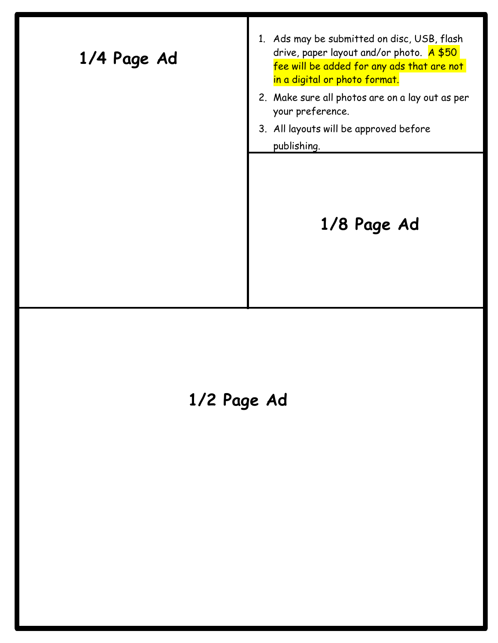| 1/4 Page Ad | 1. Ads may be submitted on disc, USB, flash<br>drive, paper layout and/or photo. $A $50$<br>fee will be added for any ads that are not<br>in a digital or photo format. |
|-------------|-------------------------------------------------------------------------------------------------------------------------------------------------------------------------|
|             | 2. Make sure all photos are on a lay out as per<br>your preference.                                                                                                     |
|             | 3. All layouts will be approved before                                                                                                                                  |
|             | publishing.                                                                                                                                                             |
|             | 1/8 Page Ad                                                                                                                                                             |

## **1/2 Page Ad**